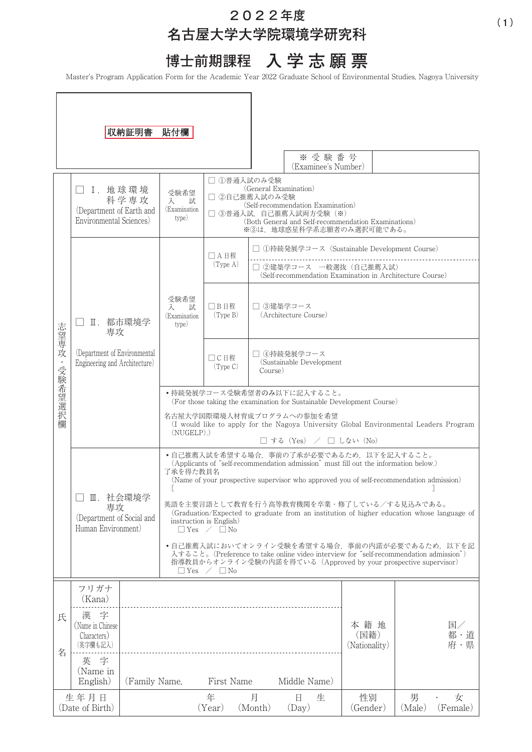# **202**2**年度 名古屋大学大学院環境学研究科**

**博士前期課程 入 学志願票**

Master's Program Application Form for the Academic Year 2022 Graduate School of Environmental Studies, Nagoya University

|                         |                                                                   | 収納証明書 貼付欄     |                                                                                                                                                                                                                                           |                                                                                                                                                                                                          |            |                                                                                                                                   |                |                              |               |                  |
|-------------------------|-------------------------------------------------------------------|---------------|-------------------------------------------------------------------------------------------------------------------------------------------------------------------------------------------------------------------------------------------|----------------------------------------------------------------------------------------------------------------------------------------------------------------------------------------------------------|------------|-----------------------------------------------------------------------------------------------------------------------------------|----------------|------------------------------|---------------|------------------|
|                         |                                                                   |               |                                                                                                                                                                                                                                           |                                                                                                                                                                                                          |            | (Examinee's Number)                                                                                                               | ※受験番号          |                              |               |                  |
| 志望専攻<br>・受験希望選択<br>欄    | I. 地球環境<br>(Department of Earth and<br>Environmental Sciences)    | 科学専攻          | 受験希望<br>試<br>入<br>(Examination<br>type)                                                                                                                                                                                                   | □ ①普通入試のみ受験<br>(General Examination)<br>□ ②自己推薦入試のみ受験<br>(Self-recommendation Examination)<br>□ ③普通入試. 自己推薦入試両方受験 (※)<br>(Both General and Self-recommendation Examinations)<br>※3は、地球惑星科学系志願者のみ選択可能である。 |            |                                                                                                                                   |                |                              |               |                  |
|                         |                                                                   |               |                                                                                                                                                                                                                                           | □ A 日程<br>$(\text{Type A})$                                                                                                                                                                              |            | ①持続発展学コース (Sustainable Development Course)<br>□ 2建築学コース 一般選抜 (自己推薦入試)<br>(Self-recommendation Examination in Architecture Course) |                |                              |               |                  |
|                         | Ⅱ. 都市環境学<br>専攻                                                    |               | 受験希望<br>試<br>入<br>(Examination<br>type)                                                                                                                                                                                                   | □B日程<br>(Type B)                                                                                                                                                                                         |            | □ ③建築学コース<br>(Architecture Course)                                                                                                |                |                              |               |                  |
|                         | (Department of Environmental<br>Engineering and Architecture)     |               |                                                                                                                                                                                                                                           | □C日程<br>$(\text{Type C})$                                                                                                                                                                                |            | □ 4持続発展学コース<br>(Sustainable Development<br>Course)                                                                                |                |                              |               |                  |
|                         |                                                                   |               | •持続発展学コース受験希望者のみ以下に記入すること。<br>(For those taking the examination for Sustainable Development Course)                                                                                                                                       |                                                                                                                                                                                                          |            |                                                                                                                                   |                |                              |               |                  |
|                         |                                                                   |               | 名古屋大学国際環境人材育成プログラムへの参加を希望<br>(I would like to apply for the Nagoya University Global Environmental Leaders Program<br>$(NUGELP)$ .)<br>$\Box$ する (Yes) / $\Box$ しない (No)                                                                  |                                                                                                                                                                                                          |            |                                                                                                                                   |                |                              |               |                  |
|                         | Ⅲ. 社会環境学<br>専攻<br>(Department of Social and<br>Human Environment) |               | • 自己推薦入試を希望する場合、事前の了承が必要であるため、以下を記入すること。<br>(Applicants of "self-recommendation admission" must fill out the information below.)<br>了承を得た教員名<br>(Name of your prospective supervisor who approved you of self-recommendation admission)   |                                                                                                                                                                                                          |            |                                                                                                                                   |                |                              |               |                  |
|                         |                                                                   |               | 英語を主要言語として教育を行う高等教育機関を卒業・修了している/する見込みである。<br>(Graduation/Expected to graduate from an institution of higher education whose language of<br>instruction is English)<br>$\Box$ Yes $\angle$ $\Box$ No                                       |                                                                                                                                                                                                          |            |                                                                                                                                   |                |                              |               |                  |
|                         |                                                                   |               | •自己推薦入試においてオンライン受験を希望する場合、事前の内諾が必要であるため、以下を記<br>入すること。(Preference to take online video interview for "self-recommendation admission")<br>指導教員からオンライン受験の内諾を得ている (Approved by your prospective supervisor)<br>$\Box$ Yes $\angle$ $\Box$ No |                                                                                                                                                                                                          |            |                                                                                                                                   |                |                              |               |                  |
| 氏<br>名                  | フリガナ<br>(Kana)                                                    |               |                                                                                                                                                                                                                                           |                                                                                                                                                                                                          |            |                                                                                                                                   |                |                              |               |                  |
|                         | 字<br>漢<br>(Name in Chinese)<br>Characters)<br>(英字欄も記入)            |               |                                                                                                                                                                                                                                           |                                                                                                                                                                                                          |            |                                                                                                                                   |                | 本籍地<br>(国籍)<br>(Nationality) |               | 国/<br>都・道<br>府·県 |
|                         | 字<br>英<br>(Name in<br>English)                                    | (Family Name, |                                                                                                                                                                                                                                           | First Name                                                                                                                                                                                               |            | Middle Name)                                                                                                                      |                |                              |               |                  |
| 生年月日<br>(Date of Birth) |                                                                   |               | 年<br>(Year)                                                                                                                                                                                                                               | 月<br>(Month)                                                                                                                                                                                             | 日<br>(Day) | 生                                                                                                                                 | 性別<br>(Gender) | 男<br>(Male)                  | 女<br>(Female) |                  |